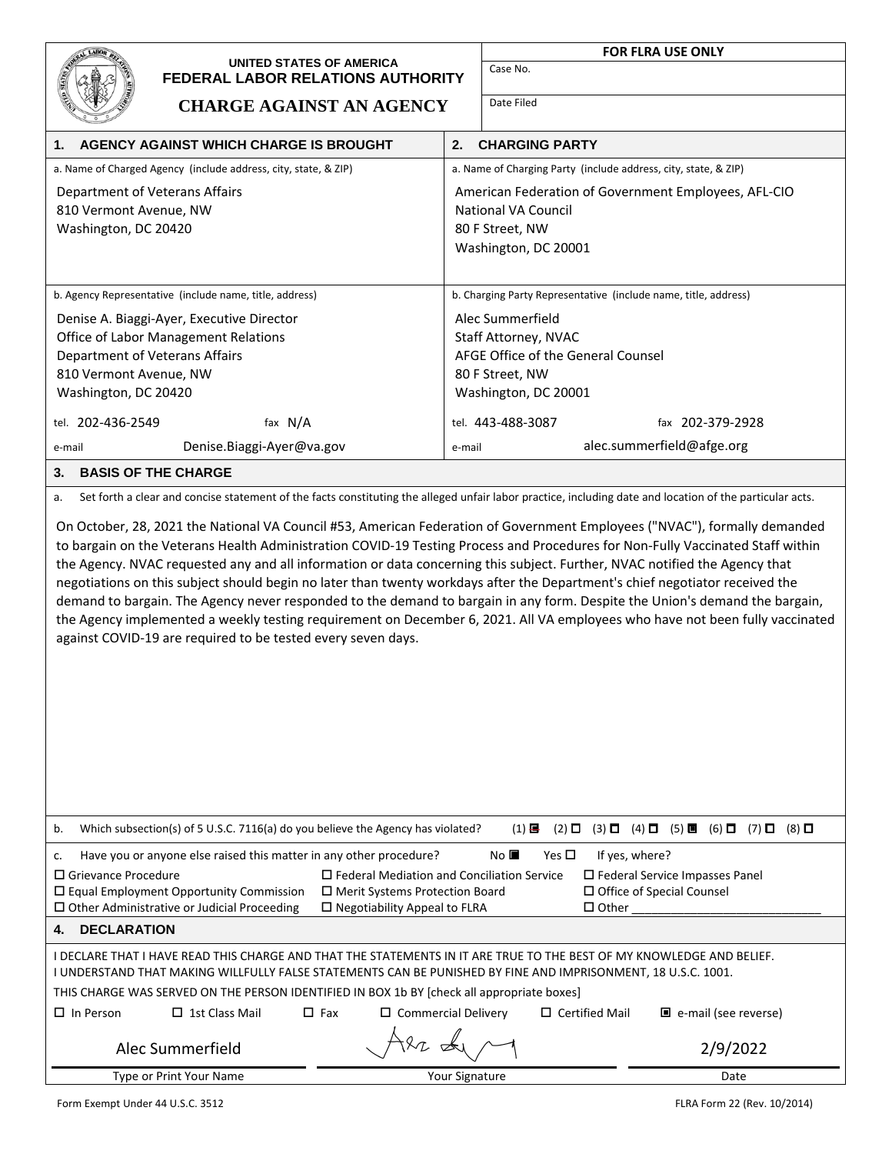| UNITED STATES OF AMERICA                                                                                                                                                                                                                                                                                                                                                                                                                                                                                                    |                        | <b>FOR FLRA USE ONLY</b><br>Case No.                                                                               |  |
|-----------------------------------------------------------------------------------------------------------------------------------------------------------------------------------------------------------------------------------------------------------------------------------------------------------------------------------------------------------------------------------------------------------------------------------------------------------------------------------------------------------------------------|------------------------|--------------------------------------------------------------------------------------------------------------------|--|
| <b>FEDERAL LABOR RELATIONS AUTHORITY</b>                                                                                                                                                                                                                                                                                                                                                                                                                                                                                    |                        |                                                                                                                    |  |
| <b>CHARGE AGAINST AN AGENCY</b>                                                                                                                                                                                                                                                                                                                                                                                                                                                                                             |                        | Date Filed                                                                                                         |  |
| AGENCY AGAINST WHICH CHARGE IS BROUGHT<br>1.                                                                                                                                                                                                                                                                                                                                                                                                                                                                                | 2.                     | <b>CHARGING PARTY</b>                                                                                              |  |
| a. Name of Charged Agency (include address, city, state, & ZIP)                                                                                                                                                                                                                                                                                                                                                                                                                                                             |                        | a. Name of Charging Party (include address, city, state, & ZIP)                                                    |  |
| Department of Veterans Affairs                                                                                                                                                                                                                                                                                                                                                                                                                                                                                              |                        | American Federation of Government Employees, AFL-CIO                                                               |  |
| 810 Vermont Avenue, NW                                                                                                                                                                                                                                                                                                                                                                                                                                                                                                      | National VA Council    |                                                                                                                    |  |
| Washington, DC 20420                                                                                                                                                                                                                                                                                                                                                                                                                                                                                                        |                        | 80 F Street, NW<br>Washington, DC 20001                                                                            |  |
|                                                                                                                                                                                                                                                                                                                                                                                                                                                                                                                             |                        |                                                                                                                    |  |
| b. Agency Representative (include name, title, address)                                                                                                                                                                                                                                                                                                                                                                                                                                                                     |                        | b. Charging Party Representative (include name, title, address)                                                    |  |
| Denise A. Biaggi-Ayer, Executive Director                                                                                                                                                                                                                                                                                                                                                                                                                                                                                   | Alec Summerfield       |                                                                                                                    |  |
| Office of Labor Management Relations                                                                                                                                                                                                                                                                                                                                                                                                                                                                                        | Staff Attorney, NVAC   |                                                                                                                    |  |
| Department of Veterans Affairs<br>810 Vermont Avenue, NW                                                                                                                                                                                                                                                                                                                                                                                                                                                                    |                        | AFGE Office of the General Counsel<br>80 F Street, NW                                                              |  |
| Washington, DC 20420                                                                                                                                                                                                                                                                                                                                                                                                                                                                                                        |                        | Washington, DC 20001                                                                                               |  |
| tel. 202-436-2549<br>fax $N/A$                                                                                                                                                                                                                                                                                                                                                                                                                                                                                              |                        | tel. 443-488-3087<br>fax 202-379-2928                                                                              |  |
| Denise.Biaggi-Ayer@va.gov<br>e-mail                                                                                                                                                                                                                                                                                                                                                                                                                                                                                         | e-mail                 | alec.summerfield@afge.org                                                                                          |  |
| <b>BASIS OF THE CHARGE</b><br>3.                                                                                                                                                                                                                                                                                                                                                                                                                                                                                            |                        |                                                                                                                    |  |
| Set forth a clear and concise statement of the facts constituting the alleged unfair labor practice, including date and location of the particular acts.<br>a.                                                                                                                                                                                                                                                                                                                                                              |                        |                                                                                                                    |  |
| On October, 28, 2021 the National VA Council #53, American Federation of Government Employees ("NVAC"), formally demanded                                                                                                                                                                                                                                                                                                                                                                                                   |                        |                                                                                                                    |  |
| to bargain on the Veterans Health Administration COVID-19 Testing Process and Procedures for Non-Fully Vaccinated Staff within<br>the Agency. NVAC requested any and all information or data concerning this subject. Further, NVAC notified the Agency that<br>negotiations on this subject should begin no later than twenty workdays after the Department's chief negotiator received the<br>demand to bargain. The Agency never responded to the demand to bargain in any form. Despite the Union's demand the bargain, |                        |                                                                                                                    |  |
| the Agency implemented a weekly testing requirement on December 6, 2021. All VA employees who have not been fully vaccinated                                                                                                                                                                                                                                                                                                                                                                                                |                        |                                                                                                                    |  |
| against COVID-19 are required to be tested every seven days.                                                                                                                                                                                                                                                                                                                                                                                                                                                                |                        |                                                                                                                    |  |
|                                                                                                                                                                                                                                                                                                                                                                                                                                                                                                                             |                        |                                                                                                                    |  |
|                                                                                                                                                                                                                                                                                                                                                                                                                                                                                                                             |                        |                                                                                                                    |  |
|                                                                                                                                                                                                                                                                                                                                                                                                                                                                                                                             |                        |                                                                                                                    |  |
|                                                                                                                                                                                                                                                                                                                                                                                                                                                                                                                             |                        |                                                                                                                    |  |
|                                                                                                                                                                                                                                                                                                                                                                                                                                                                                                                             |                        |                                                                                                                    |  |
|                                                                                                                                                                                                                                                                                                                                                                                                                                                                                                                             |                        |                                                                                                                    |  |
| Which subsection(s) of 5 U.S.C. 7116(a) do you believe the Agency has violated?<br>b.                                                                                                                                                                                                                                                                                                                                                                                                                                       |                        | $(2)$ $\Box$ $(3)$ $\Box$ $(4)$ $\Box$ $(5)$ $\Box$ $(6)$ $\Box$ $(7)$ $\Box$ $(8)$ $\Box$<br>$(1)$ $\blacksquare$ |  |
| No $\square$<br>Yes $\square$<br>If yes, where?<br>Have you or anyone else raised this matter in any other procedure?<br>c.                                                                                                                                                                                                                                                                                                                                                                                                 |                        |                                                                                                                    |  |
| $\Box$ Grievance Procedure<br>$\Box$ Federal Mediation and Conciliation Service<br>$\Box$ Federal Service Impasses Panel<br>$\square$ Equal Employment Opportunity Commission<br>□ Merit Systems Protection Board<br>□ Office of Special Counsel                                                                                                                                                                                                                                                                            |                        |                                                                                                                    |  |
| $\square$ Other Administrative or Judicial Proceeding<br>$\Box$ Negotiability Appeal to FLRA<br>$\Box$ Other                                                                                                                                                                                                                                                                                                                                                                                                                |                        |                                                                                                                    |  |
| <b>DECLARATION</b><br>4.                                                                                                                                                                                                                                                                                                                                                                                                                                                                                                    |                        |                                                                                                                    |  |
| I DECLARE THAT I HAVE READ THIS CHARGE AND THAT THE STATEMENTS IN IT ARE TRUE TO THE BEST OF MY KNOWLEDGE AND BELIEF.<br>I UNDERSTAND THAT MAKING WILLFULLY FALSE STATEMENTS CAN BE PUNISHED BY FINE AND IMPRISONMENT, 18 U.S.C. 1001.                                                                                                                                                                                                                                                                                      |                        |                                                                                                                    |  |
| THIS CHARGE WAS SERVED ON THE PERSON IDENTIFIED IN BOX 1b BY [check all appropriate boxes]                                                                                                                                                                                                                                                                                                                                                                                                                                  |                        |                                                                                                                    |  |
| $\Box$ In Person<br>$\Box$ Fax<br>$\Box$ Certified Mail<br>□ e-mail (see reverse)<br>$\Box$ 1st Class Mail<br>$\Box$ Commercial Delivery                                                                                                                                                                                                                                                                                                                                                                                    |                        |                                                                                                                    |  |
| Alec Summerfield                                                                                                                                                                                                                                                                                                                                                                                                                                                                                                            | 2/9/2022               |                                                                                                                    |  |
| Type or Print Your Name                                                                                                                                                                                                                                                                                                                                                                                                                                                                                                     | Your Signature<br>Date |                                                                                                                    |  |